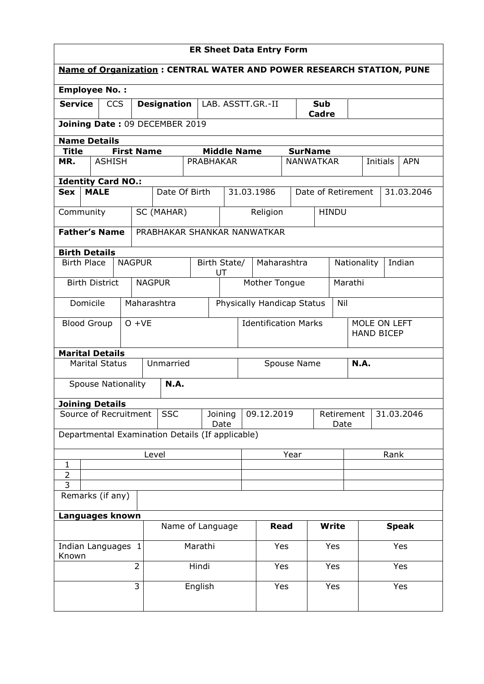| <b>ER Sheet Data Entry Form</b>                                             |                           |               |          |                    |                                                  |         |                               |                             |                                   |                     |                  |                                  |              |                       |            |              |  |
|-----------------------------------------------------------------------------|---------------------------|---------------|----------|--------------------|--------------------------------------------------|---------|-------------------------------|-----------------------------|-----------------------------------|---------------------|------------------|----------------------------------|--------------|-----------------------|------------|--------------|--|
| <b>Name of Organization: CENTRAL WATER AND POWER RESEARCH STATION, PUNE</b> |                           |               |          |                    |                                                  |         |                               |                             |                                   |                     |                  |                                  |              |                       |            |              |  |
| <b>Employee No.:</b>                                                        |                           |               |          |                    |                                                  |         |                               |                             |                                   |                     |                  |                                  |              |                       |            |              |  |
| <b>Service</b><br><b>CCS</b>                                                |                           |               |          | <b>Designation</b> |                                                  |         |                               | LAB. ASSTT.GR.-II           |                                   | <b>Sub</b><br>Cadre |                  |                                  |              |                       |            |              |  |
|                                                                             |                           |               |          |                    | Joining Date: 09 DECEMBER 2019                   |         |                               |                             |                                   |                     |                  |                                  |              |                       |            |              |  |
| <b>Name Details</b>                                                         |                           |               |          |                    |                                                  |         |                               |                             |                                   |                     |                  |                                  |              |                       |            |              |  |
| <b>Title</b>                                                                |                           |               |          | <b>First Name</b>  |                                                  |         | <b>Middle Name</b>            |                             |                                   |                     | <b>SurName</b>   |                                  |              |                       |            |              |  |
| MR.                                                                         |                           | <b>ASHISH</b> |          |                    |                                                  |         | <b>PRABHAKAR</b>              |                             |                                   |                     | <b>NANWATKAR</b> |                                  |              | Initials              |            | <b>APN</b>   |  |
| <b>Identity Card NO.:</b>                                                   |                           |               |          |                    |                                                  |         |                               |                             |                                   |                     |                  |                                  |              |                       |            |              |  |
| <b>Sex</b>                                                                  | <b>MALE</b>               |               |          |                    | Date Of Birth                                    |         |                               |                             | 31.03.1986<br>Date of Retirement  |                     |                  |                                  |              |                       | 31.03.2046 |              |  |
| Community                                                                   |                           |               |          |                    | SC (MAHAR)                                       |         |                               |                             | Religion                          |                     |                  | <b>HINDU</b>                     |              |                       |            |              |  |
| <b>Father's Name</b>                                                        |                           |               |          |                    | PRABHAKAR SHANKAR NANWATKAR                      |         |                               |                             |                                   |                     |                  |                                  |              |                       |            |              |  |
| <b>Birth Details</b>                                                        |                           |               |          |                    |                                                  |         |                               |                             |                                   |                     |                  |                                  |              |                       |            |              |  |
|                                                                             | <b>Birth Place</b>        |               |          | <b>NAGPUR</b>      |                                                  |         | Birth State/<br>UT            |                             | Maharashtra                       |                     |                  |                                  |              | Nationality<br>Indian |            |              |  |
|                                                                             | <b>Birth District</b>     |               |          |                    | <b>NAGPUR</b>                                    |         |                               |                             | Mother Tongue                     |                     |                  |                                  | Marathi      |                       |            |              |  |
|                                                                             | Domicile                  |               |          |                    | Maharashtra                                      |         |                               |                             | Physically Handicap Status<br>Nil |                     |                  |                                  |              |                       |            |              |  |
| <b>Blood Group</b>                                                          |                           |               | $O + VE$ |                    |                                                  |         |                               | <b>Identification Marks</b> |                                   |                     |                  |                                  | MOLE ON LEFT |                       |            |              |  |
|                                                                             |                           |               |          |                    |                                                  |         |                               |                             |                                   |                     |                  | <b>HAND BICEP</b>                |              |                       |            |              |  |
| <b>Marital Details</b>                                                      |                           |               |          |                    |                                                  |         |                               |                             |                                   |                     |                  |                                  |              |                       |            |              |  |
|                                                                             | <b>Marital Status</b>     |               |          |                    | Unmarried                                        |         |                               |                             | Spouse Name                       |                     |                  |                                  |              | N.A.                  |            |              |  |
|                                                                             | <b>Spouse Nationality</b> |               |          |                    | <b>N.A.</b>                                      |         |                               |                             |                                   |                     |                  |                                  |              |                       |            |              |  |
| <b>Joining Details</b>                                                      |                           |               |          |                    |                                                  |         |                               |                             |                                   |                     |                  |                                  |              |                       |            |              |  |
| Source of Recruitment                                                       |                           |               |          |                    | <b>SSC</b>                                       |         | 09.12.2019<br>Joining<br>Date |                             |                                   |                     |                  | Retirement<br>31.03.2046<br>Date |              |                       |            |              |  |
|                                                                             |                           |               |          |                    | Departmental Examination Details (If applicable) |         |                               |                             |                                   |                     |                  |                                  |              |                       |            |              |  |
|                                                                             |                           |               |          |                    | Level                                            |         |                               |                             |                                   | Year                |                  |                                  | Rank         |                       |            |              |  |
| 1<br>$\overline{2}$                                                         |                           |               |          |                    |                                                  |         |                               |                             |                                   |                     |                  |                                  |              |                       |            |              |  |
| $\overline{3}$                                                              |                           |               |          |                    |                                                  |         |                               |                             |                                   |                     |                  |                                  |              |                       |            |              |  |
| Remarks (if any)                                                            |                           |               |          |                    |                                                  |         |                               |                             |                                   |                     |                  |                                  |              |                       |            |              |  |
| Languages known                                                             |                           |               |          |                    |                                                  |         |                               |                             |                                   |                     |                  |                                  |              |                       |            |              |  |
|                                                                             |                           |               |          |                    | Name of Language                                 |         |                               |                             | <b>Read</b>                       |                     |                  | <b>Write</b>                     |              |                       |            | <b>Speak</b> |  |
| Indian Languages 1<br>Known                                                 |                           |               |          |                    |                                                  | Marathi |                               |                             |                                   | Yes<br>Yes          |                  |                                  |              |                       |            | Yes          |  |
|                                                                             |                           |               |          | $\overline{2}$     |                                                  | Hindi   |                               |                             | Yes                               |                     |                  | Yes                              |              |                       |            | Yes          |  |
|                                                                             |                           |               |          | 3                  |                                                  | English |                               |                             | Yes                               |                     |                  | Yes                              |              | Yes                   |            |              |  |
|                                                                             |                           |               |          |                    |                                                  |         |                               |                             |                                   |                     |                  |                                  |              |                       |            |              |  |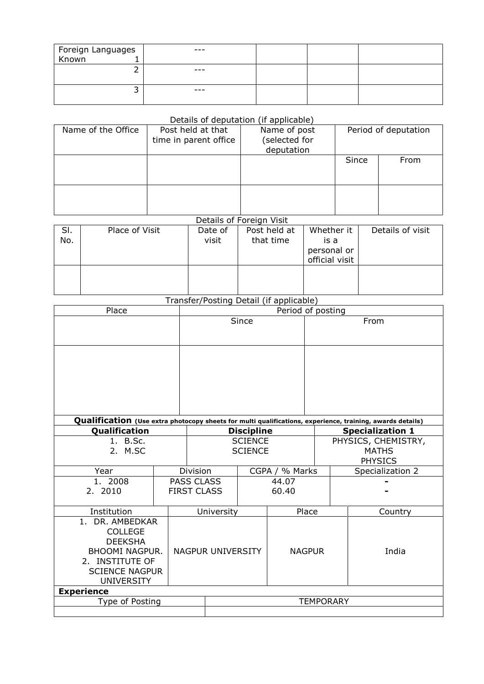| Foreign Languages<br>Known 1 | $- - -$ |  |  |
|------------------------------|---------|--|--|
|                              |         |  |  |
|                              | $- - -$ |  |  |
|                              |         |  |  |
|                              | $- - -$ |  |  |
|                              |         |  |  |

## Details of deputation (if applicable)

| Name of the Office | Post held at that<br>time in parent office | Name of post<br>selected for<br>deputation | Period of deputation |      |  |  |
|--------------------|--------------------------------------------|--------------------------------------------|----------------------|------|--|--|
|                    |                                            |                                            | Since                | From |  |  |
|                    |                                            |                                            |                      |      |  |  |

## Details of Foreign Visit

| SI. | Place of Visit | Date of | Post held at | Whether it     | Details of visit |
|-----|----------------|---------|--------------|----------------|------------------|
| No. |                | visit   | that time    | is a           |                  |
|     |                |         |              | personal or    |                  |
|     |                |         |              | official visit |                  |
|     |                |         |              |                |                  |
|     |                |         |              |                |                  |
|     |                |         |              |                |                  |

## Transfer/Posting Detail (if applicable)

| Place                 |                | Period of posting          |                   |                   |                  |                                                                                                                                      |  |                     |  |  |  |
|-----------------------|----------------|----------------------------|-------------------|-------------------|------------------|--------------------------------------------------------------------------------------------------------------------------------------|--|---------------------|--|--|--|
|                       | Since          |                            |                   |                   | From             |                                                                                                                                      |  |                     |  |  |  |
|                       |                |                            |                   |                   |                  |                                                                                                                                      |  |                     |  |  |  |
|                       |                |                            |                   |                   |                  |                                                                                                                                      |  |                     |  |  |  |
|                       |                |                            |                   |                   |                  |                                                                                                                                      |  |                     |  |  |  |
|                       |                |                            |                   |                   |                  |                                                                                                                                      |  |                     |  |  |  |
|                       |                |                            |                   |                   |                  |                                                                                                                                      |  |                     |  |  |  |
|                       |                |                            |                   |                   |                  |                                                                                                                                      |  |                     |  |  |  |
|                       |                |                            |                   |                   |                  |                                                                                                                                      |  |                     |  |  |  |
| Qualification         |                |                            |                   | <b>Discipline</b> |                  | Qualification (Use extra photocopy sheets for multi qualifications, experience, training, awards details)<br><b>Specialization 1</b> |  |                     |  |  |  |
| 1. B.Sc.              |                |                            |                   | <b>SCIENCE</b>    |                  |                                                                                                                                      |  | PHYSICS, CHEMISTRY, |  |  |  |
| 2. M.SC               | <b>SCIENCE</b> |                            |                   |                   | <b>MATHS</b>     |                                                                                                                                      |  |                     |  |  |  |
|                       |                |                            |                   | <b>PHYSICS</b>    |                  |                                                                                                                                      |  |                     |  |  |  |
| Year                  |                | Division<br>CGPA / % Marks |                   |                   | Specialization 2 |                                                                                                                                      |  |                     |  |  |  |
| 1. 2008               |                | <b>PASS CLASS</b>          |                   |                   | 44.07            |                                                                                                                                      |  |                     |  |  |  |
| 2. 2010               |                | <b>FIRST CLASS</b>         |                   |                   | 60.40            |                                                                                                                                      |  |                     |  |  |  |
|                       |                |                            |                   |                   |                  |                                                                                                                                      |  |                     |  |  |  |
| Institution           |                |                            | University        | Place             |                  |                                                                                                                                      |  | Country             |  |  |  |
| 1. DR. AMBEDKAR       |                |                            |                   |                   |                  |                                                                                                                                      |  |                     |  |  |  |
| <b>COLLEGE</b>        |                |                            | NAGPUR UNIVERSITY |                   |                  | <b>NAGPUR</b>                                                                                                                        |  |                     |  |  |  |
| <b>DEEKSHA</b>        |                |                            |                   |                   |                  |                                                                                                                                      |  |                     |  |  |  |
| <b>BHOOMI NAGPUR.</b> |                |                            |                   |                   |                  |                                                                                                                                      |  | India               |  |  |  |
| 2. INSTITUTE OF       |                |                            |                   |                   |                  |                                                                                                                                      |  |                     |  |  |  |
| <b>SCIENCE NAGPUR</b> |                |                            |                   |                   |                  |                                                                                                                                      |  |                     |  |  |  |
| <b>UNIVERSITY</b>     |                |                            |                   |                   |                  |                                                                                                                                      |  |                     |  |  |  |
| <b>Experience</b>     |                |                            |                   |                   |                  |                                                                                                                                      |  |                     |  |  |  |
| Type of Posting       |                |                            | <b>TEMPORARY</b>  |                   |                  |                                                                                                                                      |  |                     |  |  |  |
|                       |                |                            |                   |                   |                  |                                                                                                                                      |  |                     |  |  |  |